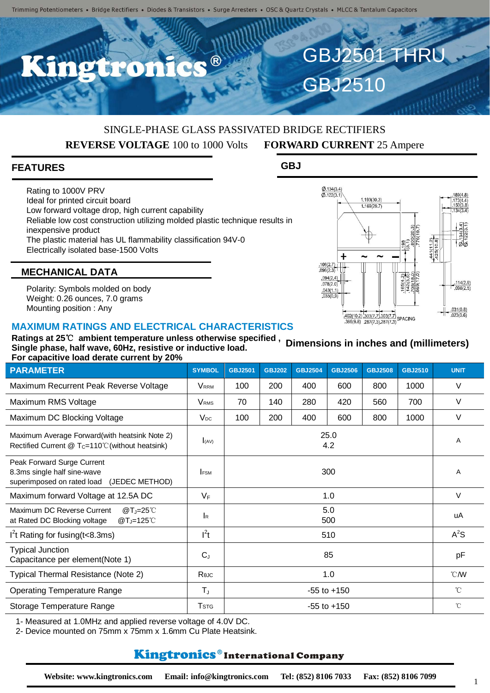R

# SINGLE-PHASE GLASS PASSIVATED BRIDGE RECTIFIERS **REVERSE VOLTAGE** 100 to 1000 Volts **FORWARD CURRENT** 25 Ampere

### **FEATURES**

Rating to 1000V PRV Ideal for printed circuit board Low forward voltage drop, high current capability Reliable low cost construction utilizing molded plastic technique results in inexpensive product The plastic material has UL flammability classification 94V-0 Electrically isolated base-1500 Volts

GBJ2510

GBJ2501 THRU

**GBJ**



# **MECHANICAL DATA**

Polarity: Symbols molded on body Weight: 0.26 ounces, 7.0 grams Mounting position : Any

#### **MAXIMUM RATINGS AND ELECTRICAL CHARACTERISTICS**

**Ratings at 25**℃ **ambient temperature unless otherwise specified , Single phase, half wave, 60Hz, resistive or inductive load. For capacitive load derate current by 20% Dimensions in inches and (millimeters)**

| <b>PARAMETER</b>                                                                                           | <b>SYMBOL</b>           | <b>GBJ2501</b>  | <b>GBJ202</b> | <b>GBJ2504</b> | <b>GBJ2506</b> | <b>GBJ2508</b> | <b>GBJ2510</b> | <b>UNIT</b>      |
|------------------------------------------------------------------------------------------------------------|-------------------------|-----------------|---------------|----------------|----------------|----------------|----------------|------------------|
| Maximum Recurrent Peak Reverse Voltage                                                                     | <b>VRRM</b>             | 100             | 200           | 400            | 600            | 800            | 1000           | $\vee$           |
| Maximum RMS Voltage                                                                                        | <b>V</b> <sub>RMS</sub> | 70              | 140           | 280            | 420            | 560            | 700            | $\vee$           |
| Maximum DC Blocking Voltage                                                                                | $V_{DC}$                | 100             | 200           | 400            | 600            | 800            | 1000           | $\vee$           |
| Maximum Average Forward(with heatsink Note 2)<br>Rectified Current $@T_c=110^{\circ}$ C (without heatsink) | I(AV)                   | 25.0<br>4.2     |               |                |                |                |                | A                |
| Peak Forward Surge Current<br>8.3ms single half sine-wave<br>superimposed on rated load<br>(JEDEC METHOD)  | <b>IFSM</b>             | 300             |               |                |                |                |                | A                |
| Maximum forward Voltage at 12.5A DC                                                                        | $V_F$                   | 1.0             |               |                |                |                |                | $\vee$           |
| Maximum DC Reverse Current<br>$@T_J=25^{\circ}$ C<br>at Rated DC Blocking voltage<br>$@T_J=125^{\circ}$    | $\mathsf{R}$            | 5.0<br>500      |               |                |                |                |                | uA               |
| $I2t$ Rating for fusing (t < 8.3ms)                                                                        | $l^2t$                  | 510             |               |                |                |                |                | $A^2S$           |
| <b>Typical Junction</b><br>Capacitance per element(Note 1)                                                 | $C_{J}$                 | 85              |               |                |                |                |                | pF               |
| Typical Thermal Resistance (Note 2)                                                                        | ReJC                    | 1.0             |               |                |                |                |                | $\mathcal{C}$ MV |
| <b>Operating Temperature Range</b>                                                                         | $T_{J}$                 | $-55$ to $+150$ |               |                |                |                |                | $^{\circ}$ C     |
| Storage Temperature Range                                                                                  | <b>T</b> <sub>STG</sub> | $-55$ to $+150$ |               |                |                |                |                | $^{\circ}$ C     |

1- Measured at 1.0MHz and applied reverse voltage of 4.0V DC.

2- Device mounted on 75mm x 75mm x 1.6mm Cu Plate Heatsink.

# **Kingtronics**®International Company